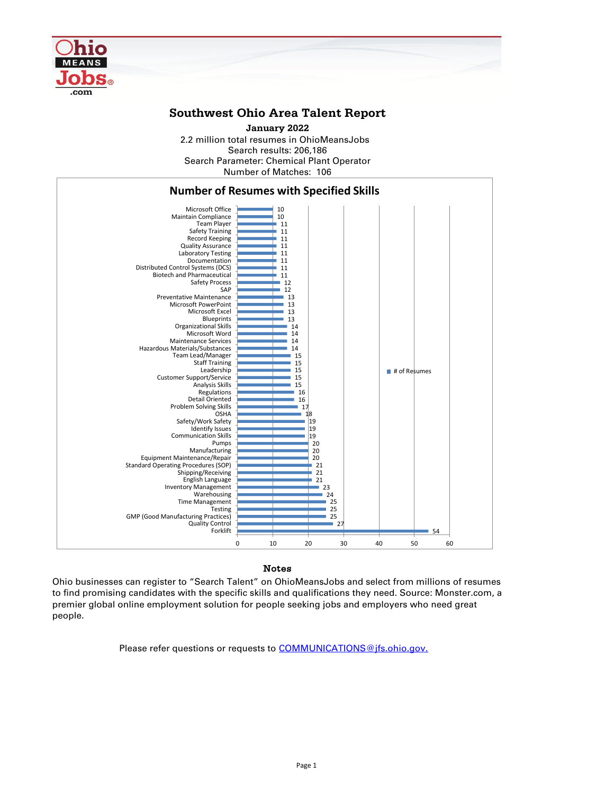Ohio businesses can register to "Search Talent" on OhioMeansJobs and select from millions of resumes to find promising candidates with the specific skills and qualifications they need. Source: Monster.com, a premier global online employment solution for people seeking jobs and employers who need great people.

Please refer questions or requests to **COMMUNICATIONS**@jfs.ohio.gov.

2.2 million total resumes in OhioMeansJobs Search results: 206,186 Number of Matches: 106 Search Parameter: Chemical Plant Operator **January 2022**



## **Southwest Ohio Area Talent Report**

## Notes